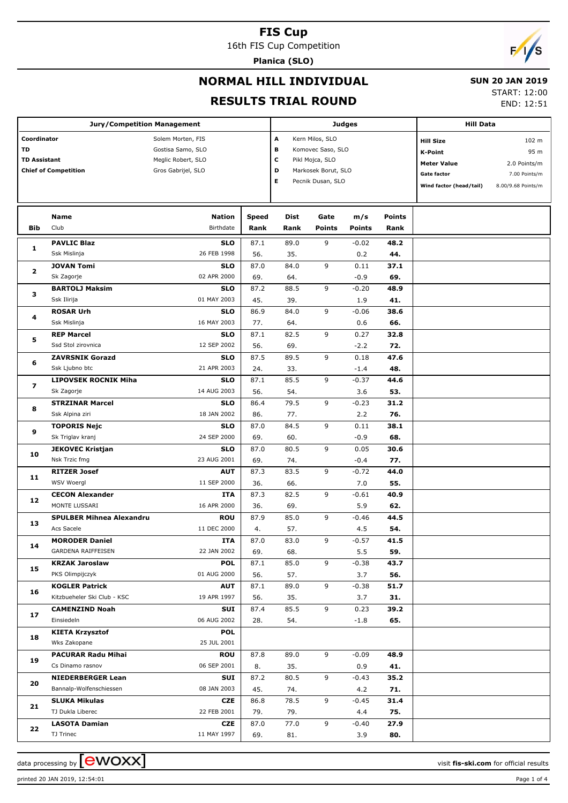16th FIS Cup Competition

**Planica (SLO)**

# $F/1/S$

## **NORMAL HILL INDIVIDUAL**

#### **SUN 20 JAN 2019**

**RESULTS TRIAL ROUND**

|  | 13 בט הומנ <i>י</i> ט ביו |  |
|--|---------------------------|--|
|  | <b>START: 12:00</b>       |  |

END: 12:51

|                                          | <b>Jury/Competition Management</b> |                                                                                    |              | <b>Judges</b>                                                                                                                | <b>Hill Data</b> |               |                                                                                             |                                                                      |  |
|------------------------------------------|------------------------------------|------------------------------------------------------------------------------------|--------------|------------------------------------------------------------------------------------------------------------------------------|------------------|---------------|---------------------------------------------------------------------------------------------|----------------------------------------------------------------------|--|
| Coordinator<br>TD<br><b>TD Assistant</b> | <b>Chief of Competition</b>        | Solem Morten, FIS<br>Gostisa Samo, SLO<br>Meglic Robert, SLO<br>Gros Gabrijel, SLO |              | A<br>Kern Milos, SLO<br>в<br>Komovec Saso, SLO<br>c<br>Pikl Mojca, SLO<br>D<br>Markosek Borut, SLO<br>Е<br>Pecnik Dusan, SLO |                  |               | <b>Hill Size</b><br>K-Point<br><b>Meter Value</b><br>Gate factor<br>Wind factor (head/tail) | 102 m<br>95 m<br>2.0 Points/m<br>7.00 Points/m<br>8.00/9.68 Points/m |  |
|                                          | Name                               | <b>Nation</b>                                                                      | <b>Speed</b> | Dist                                                                                                                         | Gate             | m/s           | <b>Points</b>                                                                               |                                                                      |  |
| <b>Bib</b>                               | Club                               | Birthdate                                                                          | Rank         | Rank                                                                                                                         | <b>Points</b>    | <b>Points</b> | Rank                                                                                        |                                                                      |  |
| 1                                        | <b>PAVLIC Blaz</b>                 | <b>SLO</b>                                                                         | 87.1         | 89.0                                                                                                                         | 9                | $-0.02$       | 48.2                                                                                        |                                                                      |  |
|                                          | Ssk Mislinja                       | 26 FEB 1998                                                                        | 56.          | 35.                                                                                                                          |                  | 0.2           | 44.                                                                                         |                                                                      |  |
| $\mathbf{2}$                             | <b>JOVAN Tomi</b>                  | <b>SLO</b>                                                                         | 87.0         | 84.0                                                                                                                         | 9                | 0.11          | 37.1                                                                                        |                                                                      |  |
|                                          | Sk Zagorje                         | 02 APR 2000                                                                        | 69.          | 64.                                                                                                                          |                  | $-0.9$        | 69.                                                                                         |                                                                      |  |
| з                                        | <b>BARTOLJ Maksim</b>              | <b>SLO</b>                                                                         | 87.2         | 88.5                                                                                                                         | 9                | $-0.20$       | 48.9                                                                                        |                                                                      |  |
|                                          | Ssk Ilirija                        | 01 MAY 2003                                                                        | 45.          | 39.                                                                                                                          |                  | 1.9           | 41.                                                                                         |                                                                      |  |
| 4                                        | <b>ROSAR Urh</b>                   | <b>SLO</b>                                                                         | 86.9         | 84.0                                                                                                                         | 9                | $-0.06$       | 38.6                                                                                        |                                                                      |  |
|                                          | Ssk Mislinja                       | 16 MAY 2003                                                                        | 77.          | 64.                                                                                                                          |                  | 0.6           | 66.                                                                                         |                                                                      |  |
| 5                                        | <b>REP Marcel</b>                  | <b>SLO</b>                                                                         | 87.1         | 82.5                                                                                                                         | 9                | 0.27          | 32.8                                                                                        |                                                                      |  |
|                                          | Ssd Stol zirovnica                 | 12 SEP 2002                                                                        | 56.          | 69.                                                                                                                          |                  | $-2.2$        | 72.                                                                                         |                                                                      |  |
| 6                                        | <b>ZAVRSNIK Gorazd</b>             | <b>SLO</b>                                                                         | 87.5         | 89.5                                                                                                                         | 9                | 0.18          | 47.6                                                                                        |                                                                      |  |
|                                          | Ssk Ljubno btc                     | 21 APR 2003                                                                        | 24.          | 33.                                                                                                                          |                  | $-1.4$        | 48.                                                                                         |                                                                      |  |
| 7                                        | <b>LIPOVSEK ROCNIK Miha</b>        | <b>SLO</b>                                                                         | 87.1         | 85.5                                                                                                                         | 9                | $-0.37$       | 44.6                                                                                        |                                                                      |  |
|                                          | Sk Zagorje                         | 14 AUG 2003                                                                        | 56.          | 54.                                                                                                                          |                  | 3.6           | 53.                                                                                         |                                                                      |  |
|                                          | <b>STRZINAR Marcel</b>             | <b>SLO</b>                                                                         | 86.4         | 79.5                                                                                                                         | 9                | $-0.23$       | 31.2                                                                                        |                                                                      |  |
| 8                                        | Ssk Alpina ziri                    | 18 JAN 2002                                                                        | 86.          | 77.                                                                                                                          |                  | 2.2           | 76.                                                                                         |                                                                      |  |
|                                          | <b>TOPORIS Nejc</b>                | <b>SLO</b>                                                                         | 87.0         | 84.5                                                                                                                         | 9                | 0.11          | 38.1                                                                                        |                                                                      |  |
| 9                                        | Sk Triglav kranj                   | 24 SEP 2000                                                                        | 69.          | 60.                                                                                                                          |                  | $-0.9$        | 68.                                                                                         |                                                                      |  |
|                                          | <b>JEKOVEC Kristjan</b>            | <b>SLO</b>                                                                         | 87.0         | 80.5                                                                                                                         | 9                | 0.05          | 30.6                                                                                        |                                                                      |  |
| 10                                       | Nsk Trzic fmg                      | 23 AUG 2001                                                                        | 69.          | 74.                                                                                                                          |                  | $-0.4$        | 77.                                                                                         |                                                                      |  |
|                                          | <b>RITZER Josef</b>                | <b>AUT</b>                                                                         | 87.3         | 83.5                                                                                                                         | 9                | $-0.72$       | 44.0                                                                                        |                                                                      |  |
| 11                                       | <b>WSV Woergl</b>                  | 11 SEP 2000                                                                        | 36.          | 66.                                                                                                                          |                  | 7.0           | 55.                                                                                         |                                                                      |  |
|                                          | <b>CECON Alexander</b>             | ITA                                                                                | 87.3         | 82.5                                                                                                                         | 9                | $-0.61$       | 40.9                                                                                        |                                                                      |  |
| 12                                       | MONTE LUSSARI                      | 16 APR 2000                                                                        | 36.          | 69.                                                                                                                          |                  | 5.9           | 62.                                                                                         |                                                                      |  |
|                                          | <b>SPULBER Mihnea Alexandru</b>    | <b>ROU</b>                                                                         | 87.9         | 85.0                                                                                                                         | 9                | $-0.46$       | 44.5                                                                                        |                                                                      |  |
| 13                                       | Acs Sacele                         | 11 DEC 2000                                                                        | 4.           | 57.                                                                                                                          |                  | 4.5           | 54.                                                                                         |                                                                      |  |
|                                          | <b>MORODER Daniel</b>              | <b>ITA</b>                                                                         | 87.0         | 83.0                                                                                                                         | 9                | $-0.57$       | 41.5                                                                                        |                                                                      |  |
| 14                                       | <b>GARDENA RAIFFEISEN</b>          | 22 JAN 2002                                                                        | 69.          | 68.                                                                                                                          |                  | 5.5           | 59.                                                                                         |                                                                      |  |
|                                          | <b>KRZAK Jaroslaw</b>              | <b>POL</b>                                                                         | 87.1         | 85.0                                                                                                                         | 9                | $-0.38$       | 43.7                                                                                        |                                                                      |  |
| 15                                       | PKS Olimpijczyk                    | 01 AUG 2000                                                                        | 56.          | 57.                                                                                                                          |                  | 3.7           | 56.                                                                                         |                                                                      |  |
|                                          | <b>KOGLER Patrick</b>              | <b>AUT</b>                                                                         | 87.1         | 89.0                                                                                                                         | 9                | $-0.38$       | 51.7                                                                                        |                                                                      |  |
| 16                                       | Kitzbueheler Ski Club - KSC        | 19 APR 1997                                                                        | 56.          | 35.                                                                                                                          |                  | 3.7           | 31.                                                                                         |                                                                      |  |
|                                          | <b>CAMENZIND Noah</b>              | SUI                                                                                | 87.4         | 85.5                                                                                                                         | 9                | 0.23          | 39.2                                                                                        |                                                                      |  |
| 17                                       | Einsiedeln                         | 06 AUG 2002                                                                        | 28.          | 54.                                                                                                                          |                  | $-1.8$        | 65.                                                                                         |                                                                      |  |
|                                          | <b>KIETA Krzysztof</b>             | <b>POL</b>                                                                         |              |                                                                                                                              |                  |               |                                                                                             |                                                                      |  |
| 18                                       | Wks Zakopane                       | 25 JUL 2001                                                                        |              |                                                                                                                              |                  |               |                                                                                             |                                                                      |  |
|                                          | <b>PACURAR Radu Mihai</b>          | ROU                                                                                | 87.8         | 89.0                                                                                                                         | 9                | $-0.09$       | 48.9                                                                                        |                                                                      |  |
| 19                                       | Cs Dinamo rasnov                   | 06 SEP 2001                                                                        |              |                                                                                                                              |                  |               |                                                                                             |                                                                      |  |
|                                          |                                    |                                                                                    | 8.           | 35.                                                                                                                          | 9                | 0.9           | 41.                                                                                         |                                                                      |  |
| 20                                       | <b>NIEDERBERGER Lean</b>           | SUI<br>08 JAN 2003                                                                 | 87.2         | 80.5                                                                                                                         |                  | $-0.43$       | 35.2                                                                                        |                                                                      |  |
|                                          | Bannalp-Wolfenschiessen            |                                                                                    | 45.          | 74.                                                                                                                          |                  | 4.2           | 71.                                                                                         |                                                                      |  |
| 21                                       | <b>SLUKA Mikulas</b>               | CZE                                                                                | 86.8         | 78.5                                                                                                                         | 9                | $-0.45$       | 31.4                                                                                        |                                                                      |  |
|                                          | TJ Dukla Liberec                   | 22 FEB 2001                                                                        | 79.          | 79.                                                                                                                          |                  | 4.4           | 75.                                                                                         |                                                                      |  |
| 22                                       | <b>LASOTA Damian</b>               | CZE                                                                                | 87.0         | 77.0                                                                                                                         | 9                | $-0.40$       | 27.9                                                                                        |                                                                      |  |
|                                          | TJ Trinec                          | 11 MAY 1997                                                                        | 69.          | 81.                                                                                                                          |                  | 3.9           | 80.                                                                                         |                                                                      |  |

data processing by **CWOXX** and  $\overline{C}$  and  $\overline{C}$  and  $\overline{C}$  and  $\overline{C}$  and  $\overline{C}$  and  $\overline{C}$  and  $\overline{C}$  and  $\overline{C}$  and  $\overline{C}$  and  $\overline{C}$  and  $\overline{C}$  and  $\overline{C}$  and  $\overline{C}$  and  $\overline{C}$  and  $\overline{C}$ 

printed 20 JAN 2019, 12:54:01 Page 1 of 4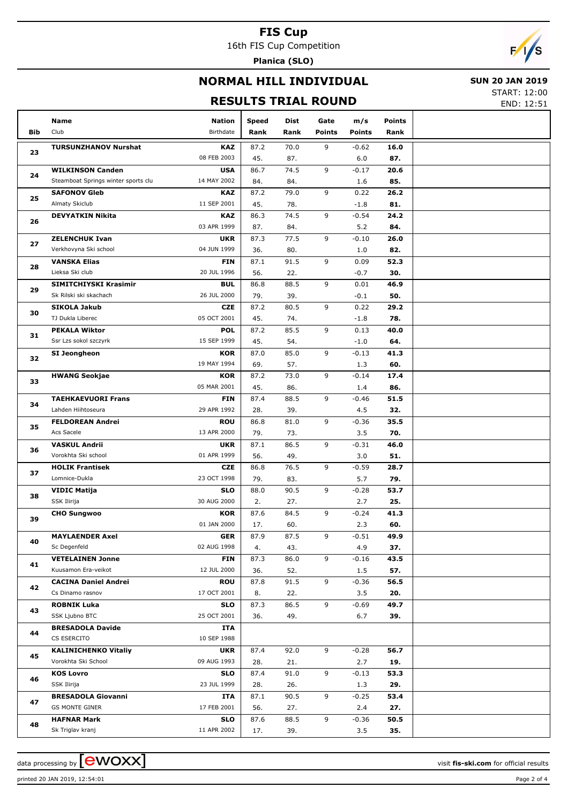16th FIS Cup Competition **Planica (SLO)**

 $F/1/s$ 

# **NORMAL HILL INDIVIDUAL**

#### **SUN 20 JAN 2019**

**RESULTS TRIAL ROUND**

START: 12:00 END: 12:51

|     | Name                                | <b>Nation</b>             | Speed       | Dist        | Gate          | m/s            | Points      |  |
|-----|-------------------------------------|---------------------------|-------------|-------------|---------------|----------------|-------------|--|
| Bib | Club                                | Birthdate                 | Rank        | Rank        | <b>Points</b> | <b>Points</b>  | Rank        |  |
|     |                                     |                           |             |             |               |                |             |  |
| 23  | <b>TURSUNZHANOV Nurshat</b>         | <b>KAZ</b><br>08 FEB 2003 | 87.2<br>45. | 70.0        | 9             | $-0.62$        | 16.0<br>87. |  |
|     | <b>WILKINSON Canden</b>             | <b>USA</b>                | 86.7        | 87.<br>74.5 | 9             | 6.0<br>$-0.17$ | 20.6        |  |
| 24  | Steamboat Springs winter sports clu | 14 MAY 2002               | 84.         | 84.         |               | 1.6            | 85.         |  |
|     | <b>SAFONOV Gleb</b>                 | <b>KAZ</b>                | 87.2        | 79.0        | 9             | 0.22           | 26.2        |  |
| 25  | Almaty Skiclub                      | 11 SEP 2001               | 45.         | 78.         |               | $-1.8$         | 81.         |  |
|     | <b>DEVYATKIN Nikita</b>             | KAZ                       | 86.3        | 74.5        | 9             | $-0.54$        | 24.2        |  |
| 26  |                                     | 03 APR 1999               | 87.         | 84.         |               | 5.2            | 84.         |  |
|     | <b>ZELENCHUK Ivan</b>               | <b>UKR</b>                | 87.3        | 77.5        | 9             | $-0.10$        | 26.0        |  |
| 27  | Verkhovyna Ski school               | 04 JUN 1999               | 36.         | 80.         |               | 1.0            | 82.         |  |
|     | <b>VANSKA Elias</b>                 | <b>FIN</b>                | 87.1        | 91.5        | 9             | 0.09           | 52.3        |  |
| 28  | Lieksa Ski club                     | 20 JUL 1996               | 56.         | 22.         |               | $-0.7$         | 30.         |  |
|     | SIMITCHIYSKI Krasimir               | <b>BUL</b>                | 86.8        | 88.5        | 9             | 0.01           | 46.9        |  |
| 29  | Sk Rilski ski skachach              | 26 JUL 2000               | 79.         | 39.         |               | $-0.1$         | 50.         |  |
| 30  | <b>SIKOLA Jakub</b>                 | <b>CZE</b>                | 87.2        | 80.5        | 9             | 0.22           | 29.2        |  |
|     | TJ Dukla Liberec                    | 05 OCT 2001               | 45.         | 74.         |               | $-1.8$         | 78.         |  |
| 31  | <b>PEKALA Wiktor</b>                | <b>POL</b>                | 87.2        | 85.5        | 9             | 0.13           | 40.0        |  |
|     | Ssr Lzs sokol szczyrk               | 15 SEP 1999               | 45.         | 54.         |               | $-1.0$         | 64.         |  |
| 32  | SI Jeongheon                        | <b>KOR</b>                | 87.0        | 85.0        | 9             | $-0.13$        | 41.3        |  |
|     |                                     | 19 MAY 1994               | 69.         | 57.         |               | 1.3            | 60.         |  |
| 33  | <b>HWANG Seokjae</b>                | <b>KOR</b>                | 87.2        | 73.0        | 9             | $-0.14$        | 17.4        |  |
|     |                                     | 05 MAR 2001               | 45.         | 86.         |               | 1.4            | 86.         |  |
| 34  | <b>TAEHKAEVUORI Frans</b>           | <b>FIN</b>                | 87.4        | 88.5        | 9             | $-0.46$        | 51.5        |  |
|     | Lahden Hiihtoseura                  | 29 APR 1992               | 28.         | 39.         |               | 4.5            | 32.         |  |
| 35  | <b>FELDOREAN Andrei</b>             | <b>ROU</b>                | 86.8        | 81.0        | 9             | $-0.36$        | 35.5        |  |
|     | Acs Sacele                          | 13 APR 2000               | 79.         | 73.         |               | 3.5            | 70.         |  |
| 36  | <b>VASKUL Andrii</b>                | <b>UKR</b>                | 87.1        | 86.5        | 9             | $-0.31$        | 46.0        |  |
|     | Vorokhta Ski school                 | 01 APR 1999               | 56.         | 49.         |               | 3.0            | 51.         |  |
| 37  | <b>HOLIK Frantisek</b>              | <b>CZE</b>                | 86.8        | 76.5        | 9             | $-0.59$        | 28.7        |  |
|     | Lomnice-Dukla                       | 23 OCT 1998               | 79.         | 83.         |               | 5.7            | 79.         |  |
| 38  | <b>VIDIC Matija</b>                 | <b>SLO</b><br>30 AUG 2000 | 88.0        | 90.5        | 9             | $-0.28$        | 53.7        |  |
|     | SSK Ilirija<br><b>CHO Sungwoo</b>   | <b>KOR</b>                | 2.<br>87.6  | 27.<br>84.5 | 9             | 2.7<br>$-0.24$ | 25.<br>41.3 |  |
| 39  |                                     | 01 JAN 2000               | 17.         | 60.         |               | 2.3            | 60.         |  |
|     | <b>MAYLAENDER Axel</b>              | GER                       | 87.9        | 87.5        | $\mathsf{Q}$  | $-0.51$        | 49.9        |  |
| 40  | Sc Degenfeld                        | 02 AUG 1998               | 4.          | 43.         |               | 4.9            | 37.         |  |
|     | <b>VETELAINEN Jonne</b>             | <b>FIN</b>                | 87.3        | 86.0        | 9             | $-0.16$        | 43.5        |  |
| 41  | Kuusamon Era-veikot                 | 12 JUL 2000               | 36.         | 52.         |               | 1.5            | 57.         |  |
|     | <b>CACINA Daniel Andrei</b>         | <b>ROU</b>                | 87.8        | 91.5        | 9             | $-0.36$        | 56.5        |  |
| 42  | Cs Dinamo rasnov                    | 17 OCT 2001               | 8.          | 22.         |               | 3.5            | 20.         |  |
|     | <b>ROBNIK Luka</b>                  | <b>SLO</b>                | 87.3        | 86.5        | 9             | $-0.69$        | 49.7        |  |
| 43  | SSK Ljubno BTC                      | 25 OCT 2001               | 36.         | 49.         |               | 6.7            | 39.         |  |
|     | <b>BRESADOLA Davide</b>             | ITA                       |             |             |               |                |             |  |
| 44  | CS ESERCITO                         | 10 SEP 1988               |             |             |               |                |             |  |
|     | <b>KALINICHENKO Vitaliy</b>         | <b>UKR</b>                | 87.4        | 92.0        | 9             | $-0.28$        | 56.7        |  |
| 45  | Vorokhta Ski School                 | 09 AUG 1993               | 28.         | 21.         |               | 2.7            | 19.         |  |
| 46  | <b>KOS Lovro</b>                    | <b>SLO</b>                | 87.4        | 91.0        | 9             | $-0.13$        | 53.3        |  |
|     | SSK Ilirija                         | 23 JUL 1999               | 28.         | 26.         |               | 1.3            | 29.         |  |
| 47  | <b>BRESADOLA Giovanni</b>           | ITA                       | 87.1        | 90.5        | 9             | $-0.25$        | 53.4        |  |
|     | <b>GS MONTE GINER</b>               | 17 FEB 2001               | 56.         | 27.         |               | 2.4            | 27.         |  |
| 48  | <b>HAFNAR Mark</b>                  | <b>SLO</b>                | 87.6        | 88.5        | 9             | $-0.36$        | 50.5        |  |
|     | Sk Triglav kranj                    | 11 APR 2002               | 17.         | 39.         |               | 3.5            | 35.         |  |

printed 20 JAN 2019, 12:54:01 Page 2 of 4

data processing by **CWOXX**  $\blacksquare$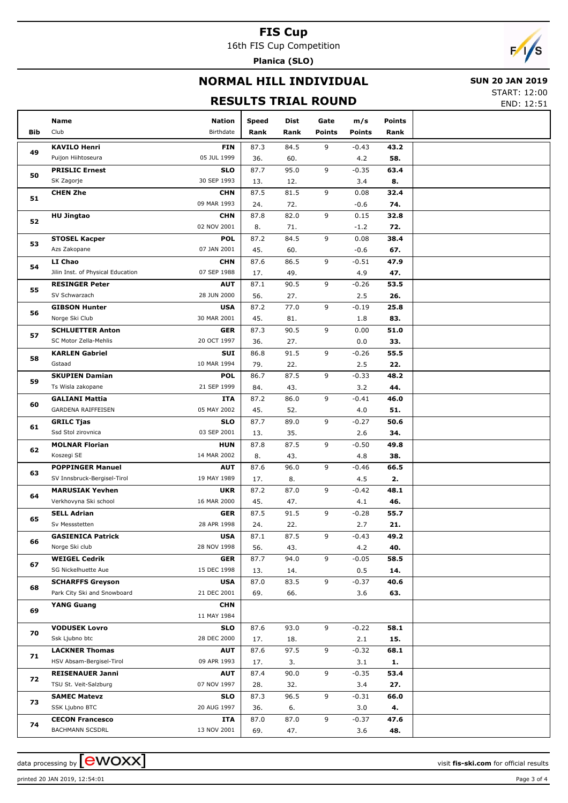16th FIS Cup Competition **Planica (SLO)**

 $\sqrt{2}$ 

## **NORMAL HILL INDIVIDUAL**

### **SUN 20 JAN 2019**

## **RESULTS TRIAL ROUND**

START: 12:00 END: 12:51

| Bib | Name<br>Club                              | <b>Nation</b><br>Birthdate | Speed<br>Rank | Dist<br>Rank | Gate<br><b>Points</b> | m/s<br><b>Points</b> | <b>Points</b><br>Rank |  |
|-----|-------------------------------------------|----------------------------|---------------|--------------|-----------------------|----------------------|-----------------------|--|
|     |                                           |                            |               |              |                       |                      |                       |  |
| 49  | <b>KAVILO Henri</b><br>Puijon Hiihtoseura | <b>FIN</b><br>05 JUL 1999  | 87.3<br>36.   | 84.5<br>60.  | 9                     | $-0.43$<br>4.2       | 43.2<br>58.           |  |
|     | <b>PRISLIC Ernest</b>                     | <b>SLO</b>                 | 87.7          | 95.0         | 9                     | $-0.35$              | 63.4                  |  |
| 50  | SK Zagorje                                | 30 SEP 1993                | 13.           | 12.          |                       | 3.4                  | 8.                    |  |
|     | <b>CHEN Zhe</b>                           | <b>CHN</b>                 | 87.5          | 81.5         | 9                     | 0.08                 | 32.4                  |  |
| 51  |                                           | 09 MAR 1993                | 24.           | 72.          |                       | $-0.6$               | 74.                   |  |
|     | <b>HU Jingtao</b>                         | <b>CHN</b>                 | 87.8          | 82.0         | 9                     | 0.15                 | 32.8                  |  |
| 52  |                                           | 02 NOV 2001                | 8.            | 71.          |                       | $-1.2$               | 72.                   |  |
|     | <b>STOSEL Kacper</b>                      | <b>POL</b>                 | 87.2          | 84.5         | 9                     | 0.08                 | 38.4                  |  |
| 53  | Azs Zakopane                              | 07 JAN 2001                | 45.           | 60.          |                       | $-0.6$               | 67.                   |  |
|     | LI Chao                                   | <b>CHN</b>                 | 87.6          | 86.5         | 9                     | $-0.51$              | 47.9                  |  |
| 54  | Jilin Inst. of Physical Education         | 07 SEP 1988                | 17.           | 49.          |                       | 4.9                  | 47.                   |  |
|     | <b>RESINGER Peter</b>                     | <b>AUT</b>                 | 87.1          | 90.5         | 9                     | $-0.26$              | 53.5                  |  |
| 55  | SV Schwarzach                             | 28 JUN 2000                | 56.           | 27.          |                       | 2.5                  | 26.                   |  |
|     | <b>GIBSON Hunter</b>                      | <b>USA</b>                 | 87.2          | 77.0         | 9                     | $-0.19$              | 25.8                  |  |
| 56  | Norge Ski Club                            | 30 MAR 2001                | 45.           | 81.          |                       | 1.8                  | 83.                   |  |
|     | <b>SCHLUETTER Anton</b>                   | <b>GER</b>                 | 87.3          | 90.5         | 9                     | 0.00                 | 51.0                  |  |
| 57  | SC Motor Zella-Mehlis                     | 20 OCT 1997                | 36.           | 27.          |                       | 0.0                  | 33.                   |  |
|     | <b>KARLEN Gabriel</b>                     | <b>SUI</b>                 | 86.8          | 91.5         | 9                     | $-0.26$              | 55.5                  |  |
| 58  | Gstaad                                    | 10 MAR 1994                | 79.           | 22.          |                       | 2.5                  | 22.                   |  |
|     | <b>SKUPIEN Damian</b>                     | <b>POL</b>                 | 86.7          | 87.5         | 9                     | $-0.33$              | 48.2                  |  |
| 59  | Ts Wisla zakopane                         | 21 SEP 1999                | 84.           | 43.          |                       | 3.2                  | 44.                   |  |
|     | <b>GALIANI Mattia</b>                     | <b>ITA</b>                 | 87.2          | 86.0         | 9                     | $-0.41$              | 46.0                  |  |
| 60  | GARDENA RAIFFEISEN                        | 05 MAY 2002                | 45.           | 52.          |                       | 4.0                  | 51.                   |  |
| 61  | <b>GRILC Tjas</b>                         | <b>SLO</b>                 | 87.7          | 89.0         | 9                     | $-0.27$              | 50.6                  |  |
|     | Ssd Stol zirovnica                        | 03 SEP 2001                | 13.           | 35.          |                       | 2.6                  | 34.                   |  |
|     | <b>MOLNAR Florian</b>                     | <b>HUN</b>                 | 87.8          | 87.5         | 9                     | $-0.50$              | 49.8                  |  |
| 62  | Koszegi SE                                | 14 MAR 2002                | 8.            | 43.          |                       | 4.8                  | 38.                   |  |
|     | <b>POPPINGER Manuel</b>                   | <b>AUT</b>                 | 87.6          | 96.0         | 9                     | $-0.46$              | 66.5                  |  |
| 63  | SV Innsbruck-Bergisel-Tirol               | 19 MAY 1989                | 17.           | 8.           |                       | 4.5                  | 2.                    |  |
|     | <b>MARUSIAK Yevhen</b>                    | <b>UKR</b>                 | 87.2          | 87.0         | 9                     | $-0.42$              | 48.1                  |  |
| 64  | Verkhovyna Ski school                     | 16 MAR 2000                | 45.           | 47.          |                       | 4.1                  | 46.                   |  |
|     | <b>SELL Adrian</b>                        | <b>GER</b>                 | 87.5          | 91.5         | 9                     | $-0.28$              | 55.7                  |  |
| 65  | Sv Messstetten                            | 28 APR 1998                | 24.           | 22.          |                       | 2.7                  | 21.                   |  |
|     | <b>GASIENICA Patrick</b>                  | <b>USA</b>                 | 87.1          | 87.5         | 9                     | -0.43                | 49.2                  |  |
| 66  | Norge Ski club                            | 28 NOV 1998                | 56.           | 43.          |                       | 4.2                  | 40.                   |  |
|     | <b>WEIGEL Cedrik</b>                      | <b>GER</b>                 | 87.7          | 94.0         | 9                     | $-0.05$              | 58.5                  |  |
| 67  | SG Nickelhuette Aue                       | 15 DEC 1998                | 13.           | 14.          |                       | 0.5                  | 14.                   |  |
|     | <b>SCHARFFS Greyson</b>                   | <b>USA</b>                 | 87.0          | 83.5         | 9                     | $-0.37$              | 40.6                  |  |
| 68  | Park City Ski and Snowboard               | 21 DEC 2001                | 69.           | 66.          |                       | 3.6                  | 63.                   |  |
|     | <b>YANG Guang</b>                         | <b>CHN</b>                 |               |              |                       |                      |                       |  |
| 69  |                                           | 11 MAY 1984                |               |              |                       |                      |                       |  |
|     | <b>VODUSEK Lovro</b>                      | <b>SLO</b>                 | 87.6          | 93.0         | 9                     | $-0.22$              | 58.1                  |  |
| 70  | Ssk Ljubno btc                            | 28 DEC 2000                | 17.           | 18.          |                       | 2.1                  | 15.                   |  |
|     | <b>LACKNER Thomas</b>                     | <b>AUT</b>                 | 87.6          | 97.5         | 9                     | $-0.32$              | 68.1                  |  |
| 71  | HSV Absam-Bergisel-Tirol                  | 09 APR 1993                | 17.           | 3.           |                       | 3.1                  | 1.                    |  |
|     | <b>REISENAUER Janni</b>                   | <b>AUT</b>                 | 87.4          | 90.0         | 9                     | $-0.35$              | 53.4                  |  |
| 72  | TSU St. Veit-Salzburg                     | 07 NOV 1997                | 28.           | 32.          |                       | 3.4                  | 27.                   |  |
|     | <b>SAMEC Matevz</b>                       | <b>SLO</b>                 | 87.3          | 96.5         | 9                     | $-0.31$              | 66.0                  |  |
| 73  | SSK Ljubno BTC                            | 20 AUG 1997                | 36.           | 6.           |                       | 3.0                  | 4.                    |  |
|     | <b>CECON Francesco</b>                    | ITA                        | 87.0          | 87.0         | 9                     | $-0.37$              | 47.6                  |  |
| 74  | <b>BACHMANN SCSDRL</b>                    | 13 NOV 2001                | 69.           | 47.          |                       | 3.6                  | 48.                   |  |
|     |                                           |                            |               |              |                       |                      |                       |  |

data processing by **CWOXX** and  $\overline{C}$  and  $\overline{C}$  and  $\overline{C}$  and  $\overline{C}$  and  $\overline{C}$  and  $\overline{C}$  and  $\overline{C}$  and  $\overline{C}$  and  $\overline{C}$  and  $\overline{C}$  and  $\overline{C}$  and  $\overline{C}$  and  $\overline{C}$  and  $\overline{C}$  and  $\overline{C}$